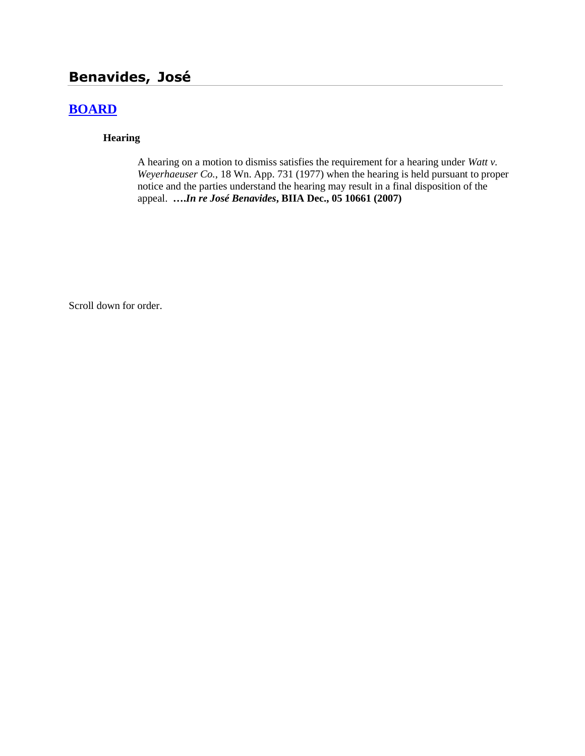# **Benavides, José**

## **[BOARD](http://www.biia.wa.gov/SDSubjectIndex.html#BOARD)**

#### **Hearing**

A hearing on a motion to dismiss satisfies the requirement for a hearing under *Watt v. Weyerhaeuser Co.*, 18 Wn. App. 731 (1977) when the hearing is held pursuant to proper notice and the parties understand the hearing may result in a final disposition of the appeal. **….***In re José Benavides***, BIIA Dec., 05 10661 (2007)**

Scroll down for order.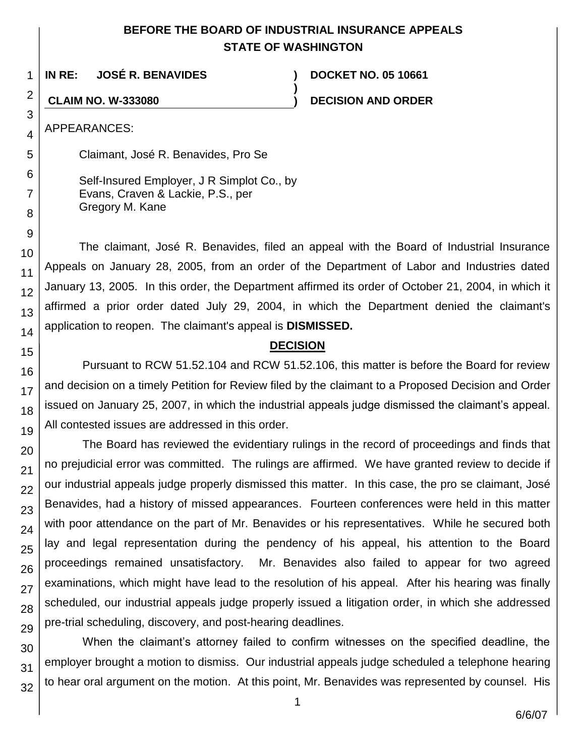### **BEFORE THE BOARD OF INDUSTRIAL INSURANCE APPEALS STATE OF WASHINGTON**

**)**

**IN RE: JOSÉ R. BENAVIDES ) DOCKET NO. 05 10661**

**CLAIM NO. W-333080 ) DECISION AND ORDER**

APPEARANCES:

1

2

3

4

5

6

7

8

9

10

11 12

13

14

15

16

17

18

19

20

21 22

23

24

25

26

27

28

29

Claimant, José R. Benavides, Pro Se

Self-Insured Employer, J R Simplot Co., by Evans, Craven & Lackie, P.S., per Gregory M. Kane

The claimant, José R. Benavides, filed an appeal with the Board of Industrial Insurance Appeals on January 28, 2005, from an order of the Department of Labor and Industries dated January 13, 2005. In this order, the Department affirmed its order of October 21, 2004, in which it affirmed a prior order dated July 29, 2004, in which the Department denied the claimant's application to reopen. The claimant's appeal is **DISMISSED.**

#### **DECISION**

Pursuant to RCW 51.52.104 and RCW 51.52.106, this matter is before the Board for review and decision on a timely Petition for Review filed by the claimant to a Proposed Decision and Order issued on January 25, 2007, in which the industrial appeals judge dismissed the claimant's appeal. All contested issues are addressed in this order.

The Board has reviewed the evidentiary rulings in the record of proceedings and finds that no prejudicial error was committed. The rulings are affirmed. We have granted review to decide if our industrial appeals judge properly dismissed this matter. In this case, the pro se claimant, José Benavides, had a history of missed appearances. Fourteen conferences were held in this matter with poor attendance on the part of Mr. Benavides or his representatives. While he secured both lay and legal representation during the pendency of his appeal, his attention to the Board proceedings remained unsatisfactory. Mr. Benavides also failed to appear for two agreed examinations, which might have lead to the resolution of his appeal. After his hearing was finally scheduled, our industrial appeals judge properly issued a litigation order, in which she addressed pre-trial scheduling, discovery, and post-hearing deadlines.

30 31 32 When the claimant's attorney failed to confirm witnesses on the specified deadline, the employer brought a motion to dismiss. Our industrial appeals judge scheduled a telephone hearing to hear oral argument on the motion. At this point, Mr. Benavides was represented by counsel. His

1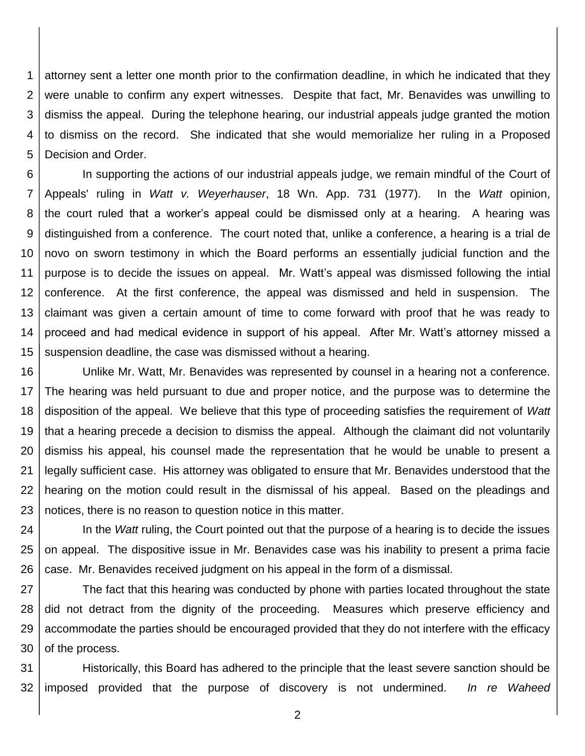1 2 3 4 5 attorney sent a letter one month prior to the confirmation deadline, in which he indicated that they were unable to confirm any expert witnesses. Despite that fact, Mr. Benavides was unwilling to dismiss the appeal. During the telephone hearing, our industrial appeals judge granted the motion to dismiss on the record. She indicated that she would memorialize her ruling in a Proposed Decision and Order.

6 7 8 9 10 11 12 13 14 15 In supporting the actions of our industrial appeals judge, we remain mindful of the Court of Appeals' ruling in *Watt v. Weyerhauser*, 18 Wn. App. 731 (1977). In the *Watt* opinion, the court ruled that a worker's appeal could be dismissed only at a hearing. A hearing was distinguished from a conference. The court noted that, unlike a conference, a hearing is a trial de novo on sworn testimony in which the Board performs an essentially judicial function and the purpose is to decide the issues on appeal. Mr. Watt's appeal was dismissed following the intial conference. At the first conference, the appeal was dismissed and held in suspension. The claimant was given a certain amount of time to come forward with proof that he was ready to proceed and had medical evidence in support of his appeal. After Mr. Watt's attorney missed a suspension deadline, the case was dismissed without a hearing.

16 17 18 19 20 21 22 23 Unlike Mr. Watt, Mr. Benavides was represented by counsel in a hearing not a conference. The hearing was held pursuant to due and proper notice, and the purpose was to determine the disposition of the appeal. We believe that this type of proceeding satisfies the requirement of *Watt* that a hearing precede a decision to dismiss the appeal. Although the claimant did not voluntarily dismiss his appeal, his counsel made the representation that he would be unable to present a legally sufficient case. His attorney was obligated to ensure that Mr. Benavides understood that the hearing on the motion could result in the dismissal of his appeal. Based on the pleadings and notices, there is no reason to question notice in this matter.

24 25 26 In the *Watt* ruling, the Court pointed out that the purpose of a hearing is to decide the issues on appeal. The dispositive issue in Mr. Benavides case was his inability to present a prima facie case. Mr. Benavides received judgment on his appeal in the form of a dismissal.

27 28 29 30 The fact that this hearing was conducted by phone with parties located throughout the state did not detract from the dignity of the proceeding. Measures which preserve efficiency and accommodate the parties should be encouraged provided that they do not interfere with the efficacy of the process.

31 32 Historically, this Board has adhered to the principle that the least severe sanction should be imposed provided that the purpose of discovery is not undermined. *In re Waheed* 

2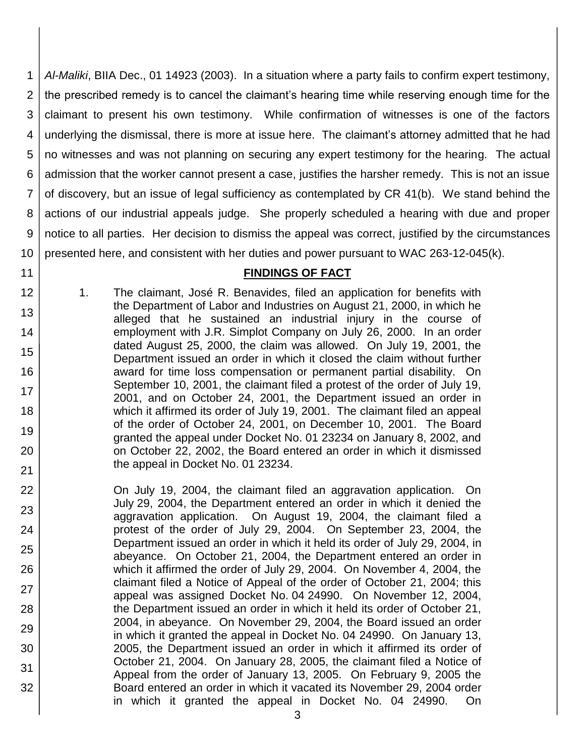1 2 3 4 5 6 7 8 9 10 *Al-Maliki*, BIIA Dec., 01 14923 (2003). In a situation where a party fails to confirm expert testimony, the prescribed remedy is to cancel the claimant's hearing time while reserving enough time for the claimant to present his own testimony. While confirmation of witnesses is one of the factors underlying the dismissal, there is more at issue here. The claimant's attorney admitted that he had no witnesses and was not planning on securing any expert testimony for the hearing. The actual admission that the worker cannot present a case, justifies the harsher remedy. This is not an issue of discovery, but an issue of legal sufficiency as contemplated by CR 41(b). We stand behind the actions of our industrial appeals judge. She properly scheduled a hearing with due and proper notice to all parties. Her decision to dismiss the appeal was correct, justified by the circumstances presented here, and consistent with her duties and power pursuant to WAC 263-12-045(k).

#### **FINDINGS OF FACT**

1. The claimant, José R. Benavides, filed an application for benefits with the Department of Labor and Industries on August 21, 2000, in which he alleged that he sustained an industrial injury in the course of employment with J.R. Simplot Company on July 26, 2000. In an order dated August 25, 2000, the claim was allowed. On July 19, 2001, the Department issued an order in which it closed the claim without further award for time loss compensation or permanent partial disability. On September 10, 2001, the claimant filed a protest of the order of July 19, 2001, and on October 24, 2001, the Department issued an order in which it affirmed its order of July 19, 2001. The claimant filed an appeal of the order of October 24, 2001, on December 10, 2001. The Board granted the appeal under Docket No. 01 23234 on January 8, 2002, and on October 22, 2002, the Board entered an order in which it dismissed the appeal in Docket No. 01 23234.

11 12

13

14

15

16

17

18

19

20

21

- 22 23 24 25 26 27 28 29 30 31 32 On July 19, 2004, the claimant filed an aggravation application. On July 29, 2004, the Department entered an order in which it denied the aggravation application. On August 19, 2004, the claimant filed a protest of the order of July 29, 2004. On September 23, 2004, the Department issued an order in which it held its order of July 29, 2004, in abeyance. On October 21, 2004, the Department entered an order in which it affirmed the order of July 29, 2004. On November 4, 2004, the claimant filed a Notice of Appeal of the order of October 21, 2004; this appeal was assigned Docket No. 04 24990. On November 12, 2004, the Department issued an order in which it held its order of October 21, 2004, in abeyance. On November 29, 2004, the Board issued an order in which it granted the appeal in Docket No. 04 24990. On January 13, 2005, the Department issued an order in which it affirmed its order of October 21, 2004. On January 28, 2005, the claimant filed a Notice of Appeal from the order of January 13, 2005. On February 9, 2005 the Board entered an order in which it vacated its November 29, 2004 order in which it granted the appeal in Docket No. 04 24990. On
	- 3